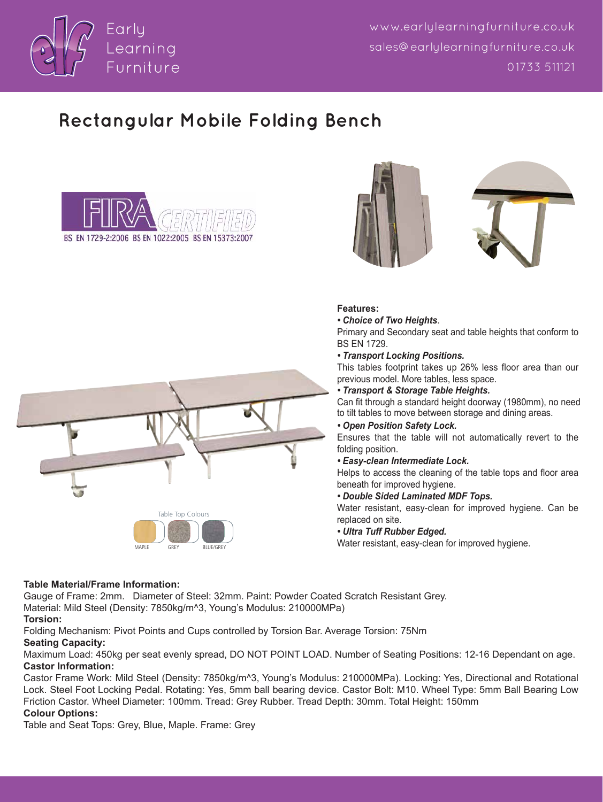

www.earlylearningfurniture.co.uk sales@earlulearningfurniture.co.uk 01733 511121

# **Rectangular Mobile Folding Bench**







## **Features:**

*• Choice of Two Heights*.

Primary and Secondary seat and table heights that conform to BS EN 1729.

#### *• Transport Locking Positions.*

This tables footprint takes up 26% less floor area than our previous model. More tables, less space.

*• Transport & Storage Table Heights.*

Can fit through a standard height doorway (1980mm), no need to tilt tables to move between storage and dining areas.

## *• Open Position Safety Lock.*

Ensures that the table will not automatically revert to the folding position.

#### *• Easy-clean Intermediate Lock.*

Helps to access the cleaning of the table tops and floor area beneath for improved hygiene.

#### *• Double Sided Laminated MDF Tops.*

Water resistant, easy-clean for improved hygiene. Can be replaced on site.

#### *• Ultra Tuff Rubber Edged.*

Water resistant, easy-clean for improved hygiene.



## **Table Material/Frame Information:**

Gauge of Frame: 2mm. Diameter of Steel: 32mm. Paint: Powder Coated Scratch Resistant Grey. Material: Mild Steel (Density: 7850kg/m^3, Young's Modulus: 210000MPa)

#### **Torsion:**

Folding Mechanism: Pivot Points and Cups controlled by Torsion Bar. Average Torsion: 75Nm

## **Seating Capacity:**

Maximum Load: 450kg per seat evenly spread, DO NOT POINT LOAD. Number of Seating Positions: 12-16 Dependant on age. **Castor Information:**

Castor Frame Work: Mild Steel (Density: 7850kg/m^3, Young's Modulus: 210000MPa). Locking: Yes, Directional and Rotational Lock. Steel Foot Locking Pedal. Rotating: Yes, 5mm ball bearing device. Castor Bolt: M10. Wheel Type: 5mm Ball Bearing Low Friction Castor. Wheel Diameter: 100mm. Tread: Grey Rubber. Tread Depth: 30mm. Total Height: 150mm

## **Colour Options:**

Table and Seat Tops: Grey, Blue, Maple. Frame: Grey